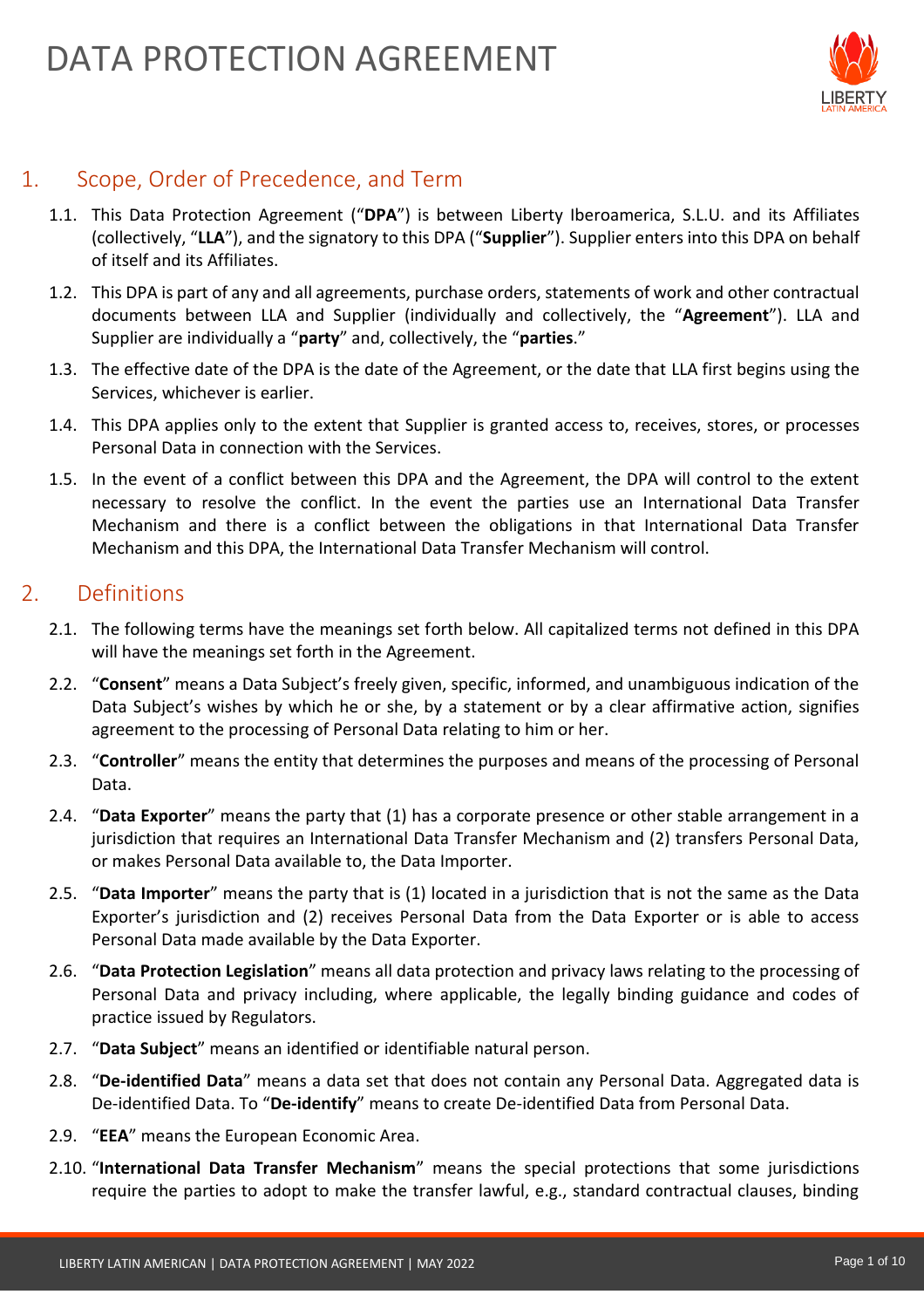

# 1. Scope, Order of Precedence, and Term

- 1.1. This Data Protection Agreement ("**DPA**") is between Liberty Iberoamerica, S.L.U. and its Affiliates (collectively, "**LLA**"), and the signatory to this DPA ("**Supplier**"). Supplier enters into this DPA on behalf of itself and its Affiliates.
- 1.2. This DPA is part of any and all agreements, purchase orders, statements of work and other contractual documents between LLA and Supplier (individually and collectively, the "**Agreement**"). LLA and Supplier are individually a "**party**" and, collectively, the "**parties**."
- 1.3. The effective date of the DPA is the date of the Agreement, or the date that LLA first begins using the Services, whichever is earlier.
- 1.4. This DPA applies only to the extent that Supplier is granted access to, receives, stores, or processes Personal Data in connection with the Services.
- 1.5. In the event of a conflict between this DPA and the Agreement, the DPA will control to the extent necessary to resolve the conflict. In the event the parties use an International Data Transfer Mechanism and there is a conflict between the obligations in that International Data Transfer Mechanism and this DPA, the International Data Transfer Mechanism will control.

### 2. Definitions

- 2.1. The following terms have the meanings set forth below. All capitalized terms not defined in this DPA will have the meanings set forth in the Agreement.
- 2.2. "**Consent**" means a Data Subject's freely given, specific, informed, and unambiguous indication of the Data Subject's wishes by which he or she, by a statement or by a clear affirmative action, signifies agreement to the processing of Personal Data relating to him or her.
- 2.3. "**Controller**" means the entity that determines the purposes and means of the processing of Personal Data.
- 2.4. "**Data Exporter**" means the party that (1) has a corporate presence or other stable arrangement in a jurisdiction that requires an International Data Transfer Mechanism and (2) transfers Personal Data, or makes Personal Data available to, the Data Importer.
- 2.5. "**Data Importer**" means the party that is (1) located in a jurisdiction that is not the same as the Data Exporter's jurisdiction and (2) receives Personal Data from the Data Exporter or is able to access Personal Data made available by the Data Exporter.
- 2.6. "**Data Protection Legislation**" means all data protection and privacy laws relating to the processing of Personal Data and privacy including, where applicable, the legally binding guidance and codes of practice issued by Regulators.
- 2.7. "**Data Subject**" means an identified or identifiable natural person.
- 2.8. "**De-identified Data**" means a data set that does not contain any Personal Data. Aggregated data is De-identified Data. To "**De-identify**" means to create De-identified Data from Personal Data.
- 2.9. "**EEA**" means the European Economic Area.
- 2.10. "**International Data Transfer Mechanism**" means the special protections that some jurisdictions require the parties to adopt to make the transfer lawful, e.g., standard contractual clauses, binding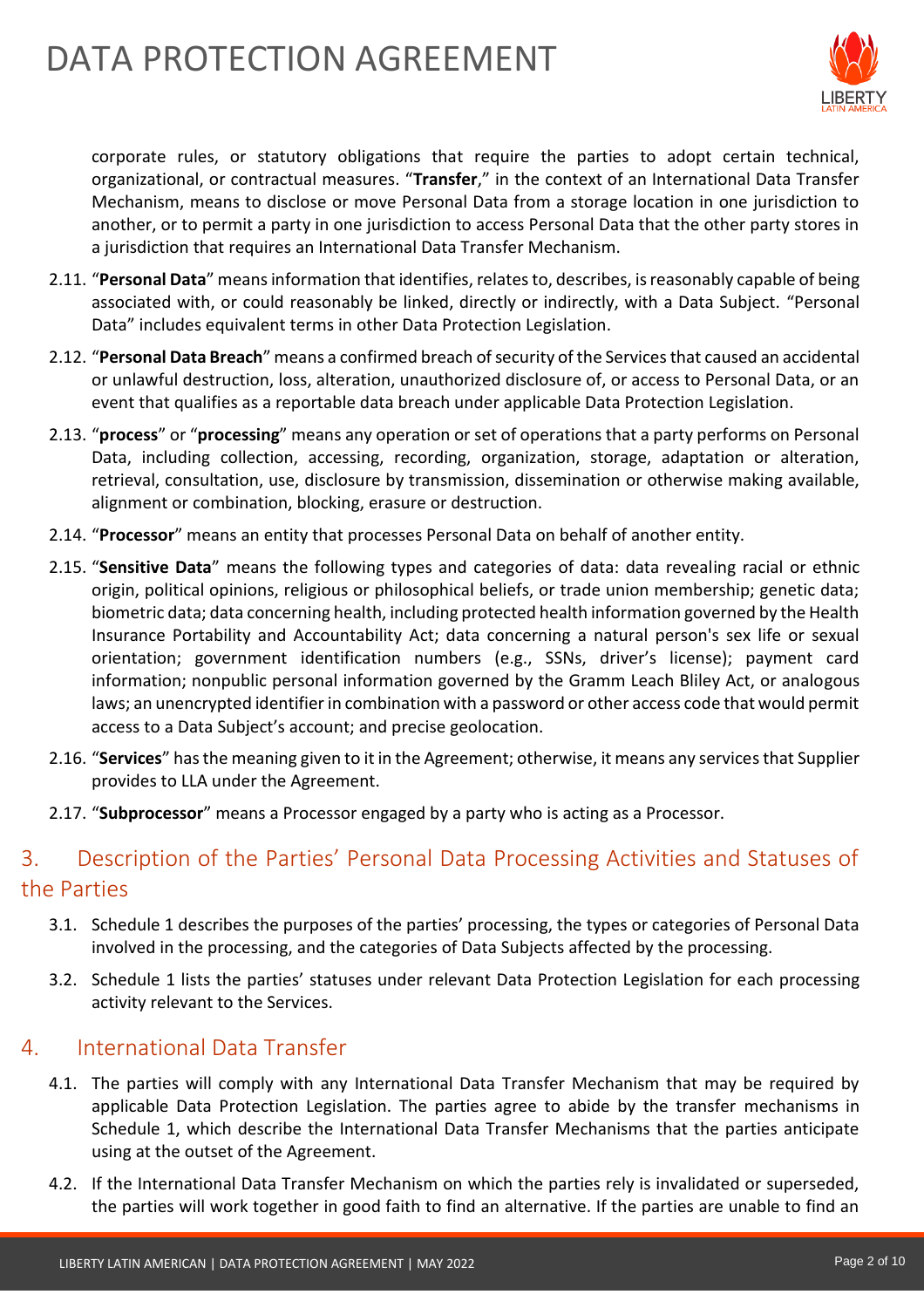# DATA PROTECTION AGREEMENT



corporate rules, or statutory obligations that require the parties to adopt certain technical, organizational, or contractual measures. "**Transfer**," in the context of an International Data Transfer Mechanism, means to disclose or move Personal Data from a storage location in one jurisdiction to another, or to permit a party in one jurisdiction to access Personal Data that the other party stores in a jurisdiction that requires an International Data Transfer Mechanism.

- 2.11. "**Personal Data**" means information that identifies, relates to, describes, is reasonably capable of being associated with, or could reasonably be linked, directly or indirectly, with a Data Subject. "Personal Data" includes equivalent terms in other Data Protection Legislation.
- 2.12. "**Personal Data Breach**" means a confirmed breach of security of the Services that caused an accidental or unlawful destruction, loss, alteration, unauthorized disclosure of, or access to Personal Data, or an event that qualifies as a reportable data breach under applicable Data Protection Legislation.
- 2.13. "**process**" or "**processing**" means any operation or set of operations that a party performs on Personal Data, including collection, accessing, recording, organization, storage, adaptation or alteration, retrieval, consultation, use, disclosure by transmission, dissemination or otherwise making available, alignment or combination, blocking, erasure or destruction.
- 2.14. "**Processor**" means an entity that processes Personal Data on behalf of another entity.
- 2.15. "**Sensitive Data**" means the following types and categories of data: data revealing racial or ethnic origin, political opinions, religious or philosophical beliefs, or trade union membership; genetic data; biometric data; data concerning health, including protected health information governed by the Health Insurance Portability and Accountability Act; data concerning a natural person's sex life or sexual orientation; government identification numbers (e.g., SSNs, driver's license); payment card information; nonpublic personal information governed by the Gramm Leach Bliley Act, or analogous laws; an unencrypted identifier in combination with a password or other access code that would permit access to a Data Subject's account; and precise geolocation.
- 2.16. "**Services**" has the meaning given to it in the Agreement; otherwise, it means any services that Supplier provides to LLA under the Agreement.
- 2.17. "**Subprocessor**" means a Processor engaged by a party who is acting as a Processor.

# 3. Description of the Parties' Personal Data Processing Activities and Statuses of the Parties

- 3.1. Schedule 1 describes the purposes of the parties' processing, the types or categories of Personal Data involved in the processing, and the categories of Data Subjects affected by the processing.
- 3.2. Schedule 1 lists the parties' statuses under relevant Data Protection Legislation for each processing activity relevant to the Services.

### 4. International Data Transfer

- 4.1. The parties will comply with any International Data Transfer Mechanism that may be required by applicable Data Protection Legislation. The parties agree to abide by the transfer mechanisms in Schedule 1, which describe the International Data Transfer Mechanisms that the parties anticipate using at the outset of the Agreement.
- 4.2. If the International Data Transfer Mechanism on which the parties rely is invalidated or superseded, the parties will work together in good faith to find an alternative. If the parties are unable to find an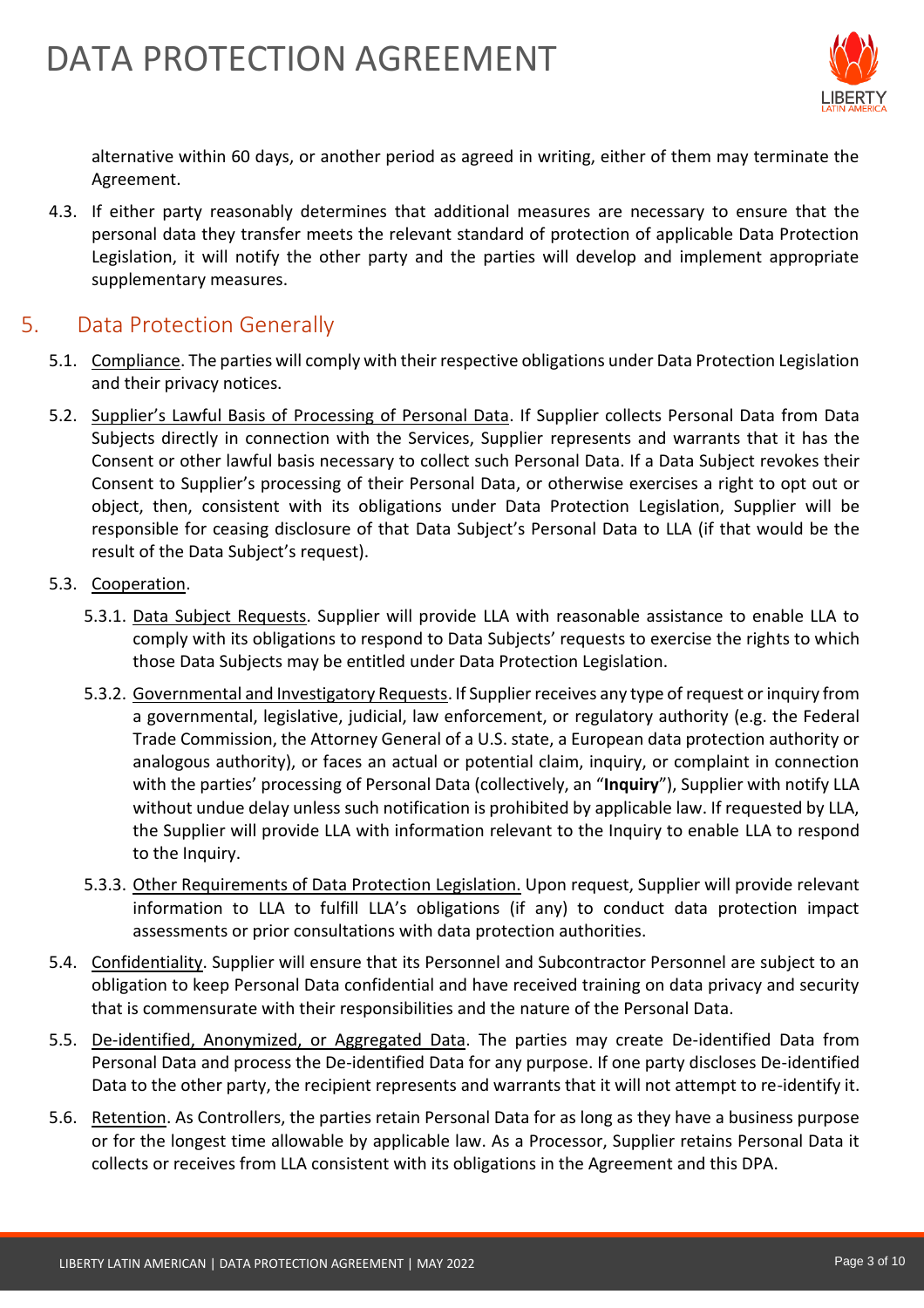

alternative within 60 days, or another period as agreed in writing, either of them may terminate the Agreement.

4.3. If either party reasonably determines that additional measures are necessary to ensure that the personal data they transfer meets the relevant standard of protection of applicable Data Protection Legislation, it will notify the other party and the parties will develop and implement appropriate supplementary measures.

### 5. Data Protection Generally

- 5.1. Compliance. The parties will comply with their respective obligations under Data Protection Legislation and their privacy notices.
- 5.2. Supplier's Lawful Basis of Processing of Personal Data. If Supplier collects Personal Data from Data Subjects directly in connection with the Services, Supplier represents and warrants that it has the Consent or other lawful basis necessary to collect such Personal Data. If a Data Subject revokes their Consent to Supplier's processing of their Personal Data, or otherwise exercises a right to opt out or object, then, consistent with its obligations under Data Protection Legislation, Supplier will be responsible for ceasing disclosure of that Data Subject's Personal Data to LLA (if that would be the result of the Data Subject's request).
- 5.3. Cooperation.
	- 5.3.1. Data Subject Requests. Supplier will provide LLA with reasonable assistance to enable LLA to comply with its obligations to respond to Data Subjects' requests to exercise the rights to which those Data Subjects may be entitled under Data Protection Legislation.
	- 5.3.2. Governmental and Investigatory Requests. If Supplier receives any type of request or inquiry from a governmental, legislative, judicial, law enforcement, or regulatory authority (e.g. the Federal Trade Commission, the Attorney General of a U.S. state, a European data protection authority or analogous authority), or faces an actual or potential claim, inquiry, or complaint in connection with the parties' processing of Personal Data (collectively, an "**Inquiry**"), Supplier with notify LLA without undue delay unless such notification is prohibited by applicable law. If requested by LLA, the Supplier will provide LLA with information relevant to the Inquiry to enable LLA to respond to the Inquiry.
	- 5.3.3. Other Requirements of Data Protection Legislation. Upon request, Supplier will provide relevant information to LLA to fulfill LLA's obligations (if any) to conduct data protection impact assessments or prior consultations with data protection authorities.
- 5.4. Confidentiality. Supplier will ensure that its Personnel and Subcontractor Personnel are subject to an obligation to keep Personal Data confidential and have received training on data privacy and security that is commensurate with their responsibilities and the nature of the Personal Data.
- 5.5. De-identified, Anonymized, or Aggregated Data. The parties may create De-identified Data from Personal Data and process the De-identified Data for any purpose. If one party discloses De-identified Data to the other party, the recipient represents and warrants that it will not attempt to re-identify it.
- 5.6. Retention. As Controllers, the parties retain Personal Data for as long as they have a business purpose or for the longest time allowable by applicable law. As a Processor, Supplier retains Personal Data it collects or receives from LLA consistent with its obligations in the Agreement and this DPA.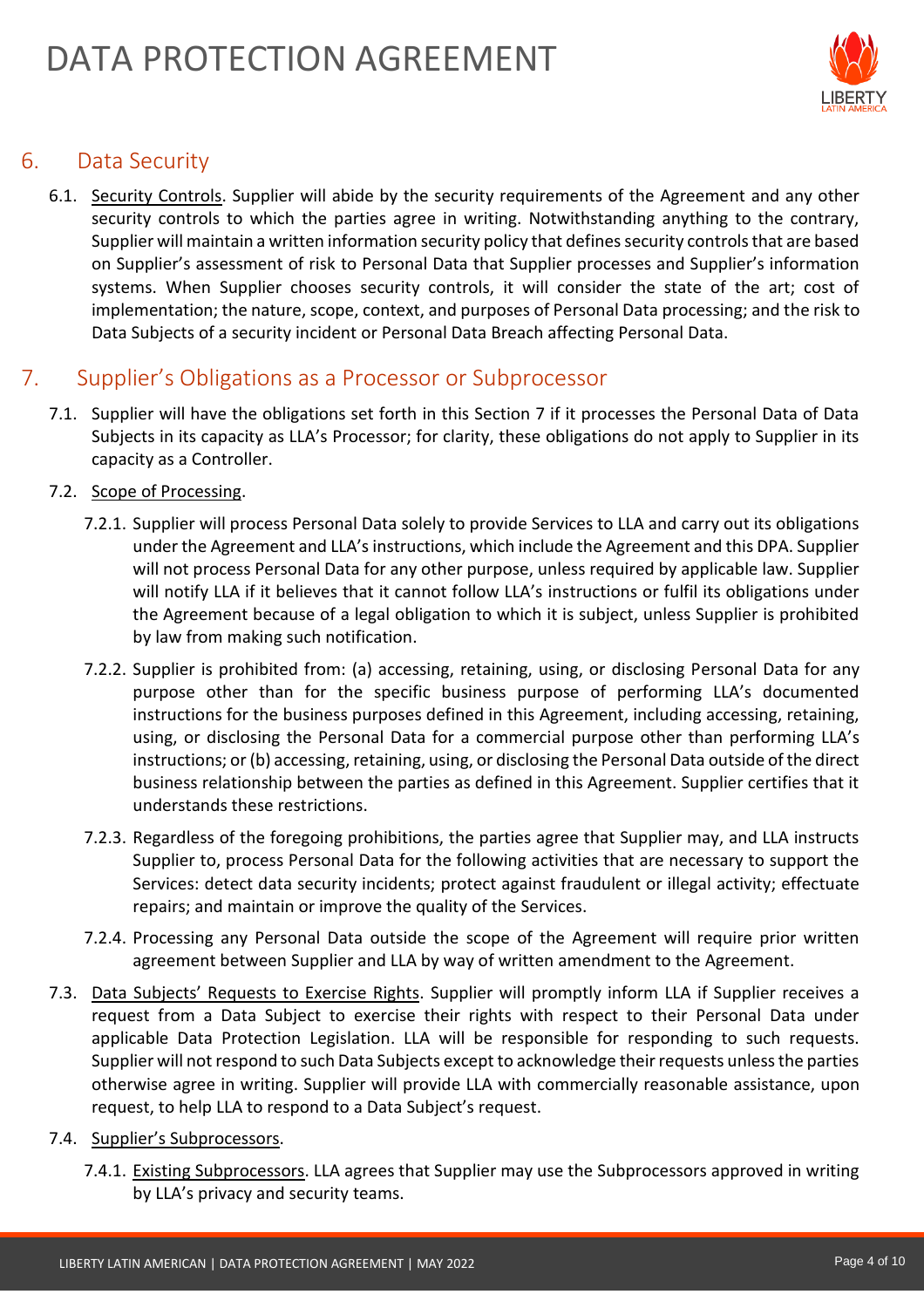

# 6. Data Security

6.1. Security Controls. Supplier will abide by the security requirements of the Agreement and any other security controls to which the parties agree in writing. Notwithstanding anything to the contrary, Supplier will maintain a written information security policy that defines security controls that are based on Supplier's assessment of risk to Personal Data that Supplier processes and Supplier's information systems. When Supplier chooses security controls, it will consider the state of the art; cost of implementation; the nature, scope, context, and purposes of Personal Data processing; and the risk to Data Subjects of a security incident or Personal Data Breach affecting Personal Data.

## 7. Supplier's Obligations as a Processor or Subprocessor

7.1. Supplier will have the obligations set forth in this Section 7 if it processes the Personal Data of Data Subjects in its capacity as LLA's Processor; for clarity, these obligations do not apply to Supplier in its capacity as a Controller.

#### 7.2. Scope of Processing.

- 7.2.1. Supplier will process Personal Data solely to provide Services to LLA and carry out its obligations under the Agreement and LLA's instructions, which include the Agreement and this DPA. Supplier will not process Personal Data for any other purpose, unless required by applicable law. Supplier will notify LLA if it believes that it cannot follow LLA's instructions or fulfil its obligations under the Agreement because of a legal obligation to which it is subject, unless Supplier is prohibited by law from making such notification.
- 7.2.2. Supplier is prohibited from: (a) accessing, retaining, using, or disclosing Personal Data for any purpose other than for the specific business purpose of performing LLA's documented instructions for the business purposes defined in this Agreement, including accessing, retaining, using, or disclosing the Personal Data for a commercial purpose other than performing LLA's instructions; or (b) accessing, retaining, using, or disclosing the Personal Data outside of the direct business relationship between the parties as defined in this Agreement. Supplier certifies that it understands these restrictions.
- 7.2.3. Regardless of the foregoing prohibitions, the parties agree that Supplier may, and LLA instructs Supplier to, process Personal Data for the following activities that are necessary to support the Services: detect data security incidents; protect against fraudulent or illegal activity; effectuate repairs; and maintain or improve the quality of the Services.
- 7.2.4. Processing any Personal Data outside the scope of the Agreement will require prior written agreement between Supplier and LLA by way of written amendment to the Agreement.
- 7.3. Data Subjects' Requests to Exercise Rights. Supplier will promptly inform LLA if Supplier receives a request from a Data Subject to exercise their rights with respect to their Personal Data under applicable Data Protection Legislation. LLA will be responsible for responding to such requests. Supplier will not respond to such Data Subjects except to acknowledge their requests unless the parties otherwise agree in writing. Supplier will provide LLA with commercially reasonable assistance, upon request, to help LLA to respond to a Data Subject's request.
- 7.4. Supplier's Subprocessors.
	- 7.4.1. Existing Subprocessors. LLA agrees that Supplier may use the Subprocessors approved in writing by LLA's privacy and security teams.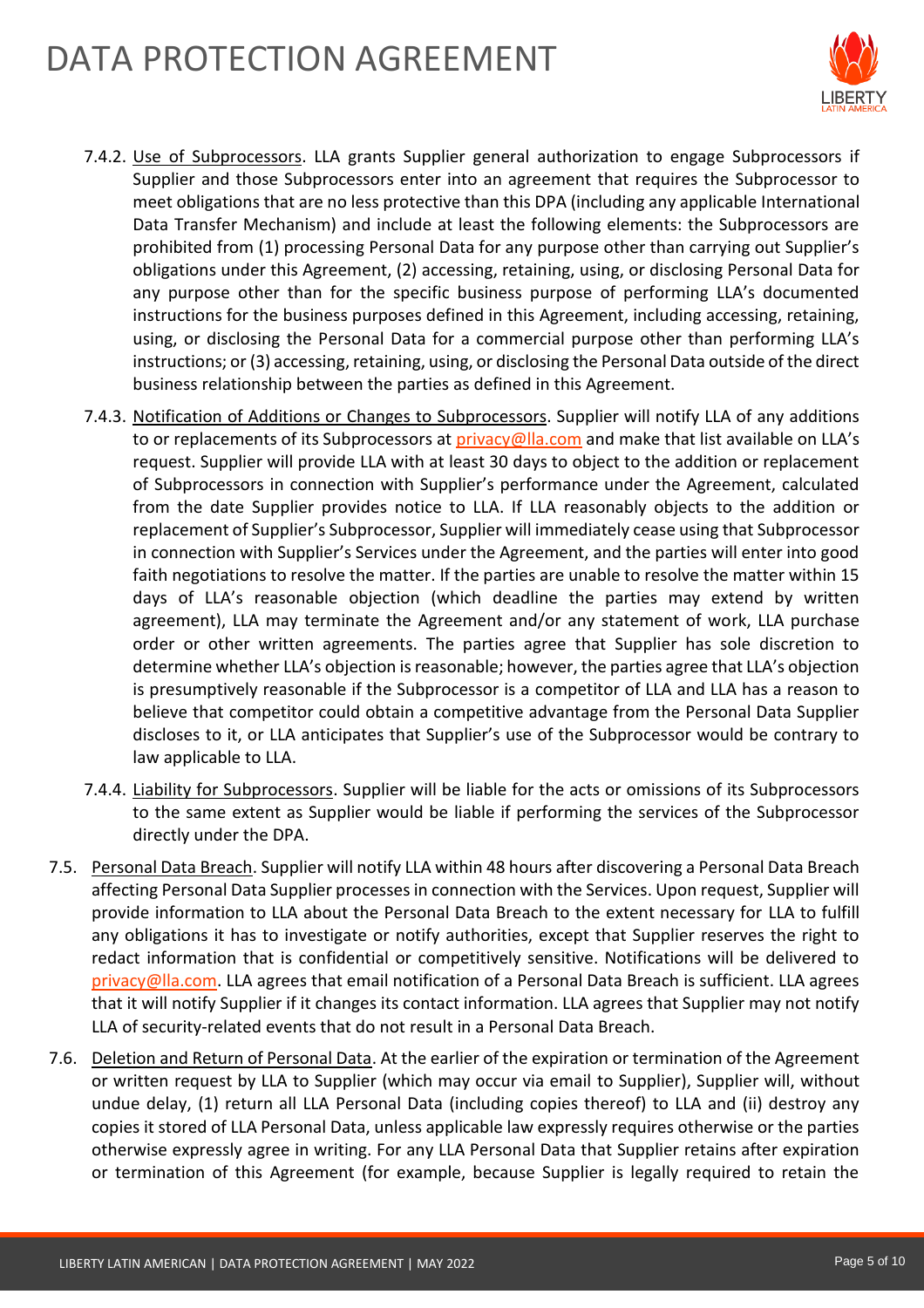# DATA PROTECTION AGREEMENT



- 7.4.2. Use of Subprocessors. LLA grants Supplier general authorization to engage Subprocessors if Supplier and those Subprocessors enter into an agreement that requires the Subprocessor to meet obligations that are no less protective than this DPA (including any applicable International Data Transfer Mechanism) and include at least the following elements: the Subprocessors are prohibited from (1) processing Personal Data for any purpose other than carrying out Supplier's obligations under this Agreement, (2) accessing, retaining, using, or disclosing Personal Data for any purpose other than for the specific business purpose of performing LLA's documented instructions for the business purposes defined in this Agreement, including accessing, retaining, using, or disclosing the Personal Data for a commercial purpose other than performing LLA's instructions; or (3) accessing, retaining, using, or disclosing the Personal Data outside of the direct business relationship between the parties as defined in this Agreement.
- 7.4.3. Notification of Additions or Changes to Subprocessors. Supplier will notify LLA of any additions to or replacements of its Subprocessors at [privacy@lla.com](mailto:privacy@lla.com) and make that list available on LLA's request. Supplier will provide LLA with at least 30 days to object to the addition or replacement of Subprocessors in connection with Supplier's performance under the Agreement, calculated from the date Supplier provides notice to LLA. If LLA reasonably objects to the addition or replacement of Supplier's Subprocessor, Supplier will immediately cease using that Subprocessor in connection with Supplier's Services under the Agreement, and the parties will enter into good faith negotiations to resolve the matter. If the parties are unable to resolve the matter within 15 days of LLA's reasonable objection (which deadline the parties may extend by written agreement), LLA may terminate the Agreement and/or any statement of work, LLA purchase order or other written agreements. The parties agree that Supplier has sole discretion to determine whether LLA's objection is reasonable; however, the parties agree that LLA's objection is presumptively reasonable if the Subprocessor is a competitor of LLA and LLA has a reason to believe that competitor could obtain a competitive advantage from the Personal Data Supplier discloses to it, or LLA anticipates that Supplier's use of the Subprocessor would be contrary to law applicable to LLA.
- 7.4.4. Liability for Subprocessors. Supplier will be liable for the acts or omissions of its Subprocessors to the same extent as Supplier would be liable if performing the services of the Subprocessor directly under the DPA.
- 7.5. Personal Data Breach. Supplier will notify LLA within 48 hours after discovering a Personal Data Breach affecting Personal Data Supplier processes in connection with the Services. Upon request, Supplier will provide information to LLA about the Personal Data Breach to the extent necessary for LLA to fulfill any obligations it has to investigate or notify authorities, except that Supplier reserves the right to redact information that is confidential or competitively sensitive. Notifications will be delivered to [privacy@lla.com.](mailto:privacy@lla.com) LLA agrees that email notification of a Personal Data Breach is sufficient. LLA agrees that it will notify Supplier if it changes its contact information. LLA agrees that Supplier may not notify LLA of security-related events that do not result in a Personal Data Breach.
- 7.6. Deletion and Return of Personal Data. At the earlier of the expiration or termination of the Agreement or written request by LLA to Supplier (which may occur via email to Supplier), Supplier will, without undue delay, (1) return all LLA Personal Data (including copies thereof) to LLA and (ii) destroy any copies it stored of LLA Personal Data, unless applicable law expressly requires otherwise or the parties otherwise expressly agree in writing. For any LLA Personal Data that Supplier retains after expiration or termination of this Agreement (for example, because Supplier is legally required to retain the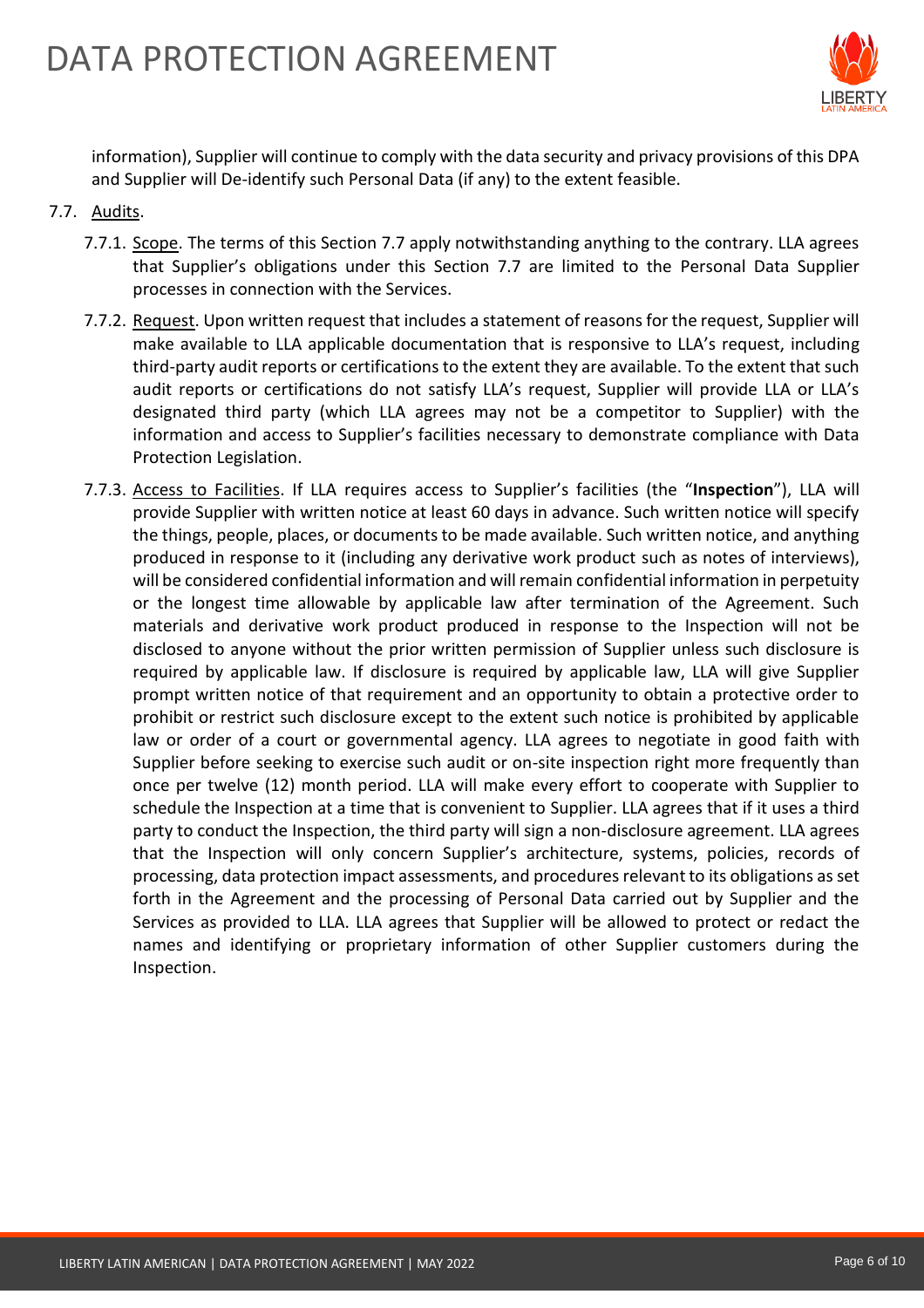

information), Supplier will continue to comply with the data security and privacy provisions of this DPA and Supplier will De-identify such Personal Data (if any) to the extent feasible.

- 7.7. Audits.
	- 7.7.1. Scope. The terms of this Section 7.7 apply notwithstanding anything to the contrary. LLA agrees that Supplier's obligations under this Section 7.7 are limited to the Personal Data Supplier processes in connection with the Services.
	- 7.7.2. Request. Upon written request that includes a statement of reasons for the request, Supplier will make available to LLA applicable documentation that is responsive to LLA's request, including third-party audit reports or certifications to the extent they are available. To the extent that such audit reports or certifications do not satisfy LLA's request, Supplier will provide LLA or LLA's designated third party (which LLA agrees may not be a competitor to Supplier) with the information and access to Supplier's facilities necessary to demonstrate compliance with Data Protection Legislation.
	- 7.7.3. Access to Facilities. If LLA requires access to Supplier's facilities (the "**Inspection**"), LLA will provide Supplier with written notice at least 60 days in advance. Such written notice will specify the things, people, places, or documents to be made available. Such written notice, and anything produced in response to it (including any derivative work product such as notes of interviews), will be considered confidential information and will remain confidential information in perpetuity or the longest time allowable by applicable law after termination of the Agreement. Such materials and derivative work product produced in response to the Inspection will not be disclosed to anyone without the prior written permission of Supplier unless such disclosure is required by applicable law. If disclosure is required by applicable law, LLA will give Supplier prompt written notice of that requirement and an opportunity to obtain a protective order to prohibit or restrict such disclosure except to the extent such notice is prohibited by applicable law or order of a court or governmental agency. LLA agrees to negotiate in good faith with Supplier before seeking to exercise such audit or on-site inspection right more frequently than once per twelve (12) month period. LLA will make every effort to cooperate with Supplier to schedule the Inspection at a time that is convenient to Supplier. LLA agrees that if it uses a third party to conduct the Inspection, the third party will sign a non-disclosure agreement. LLA agrees that the Inspection will only concern Supplier's architecture, systems, policies, records of processing, data protection impact assessments, and procedures relevant to its obligations as set forth in the Agreement and the processing of Personal Data carried out by Supplier and the Services as provided to LLA. LLA agrees that Supplier will be allowed to protect or redact the names and identifying or proprietary information of other Supplier customers during the Inspection.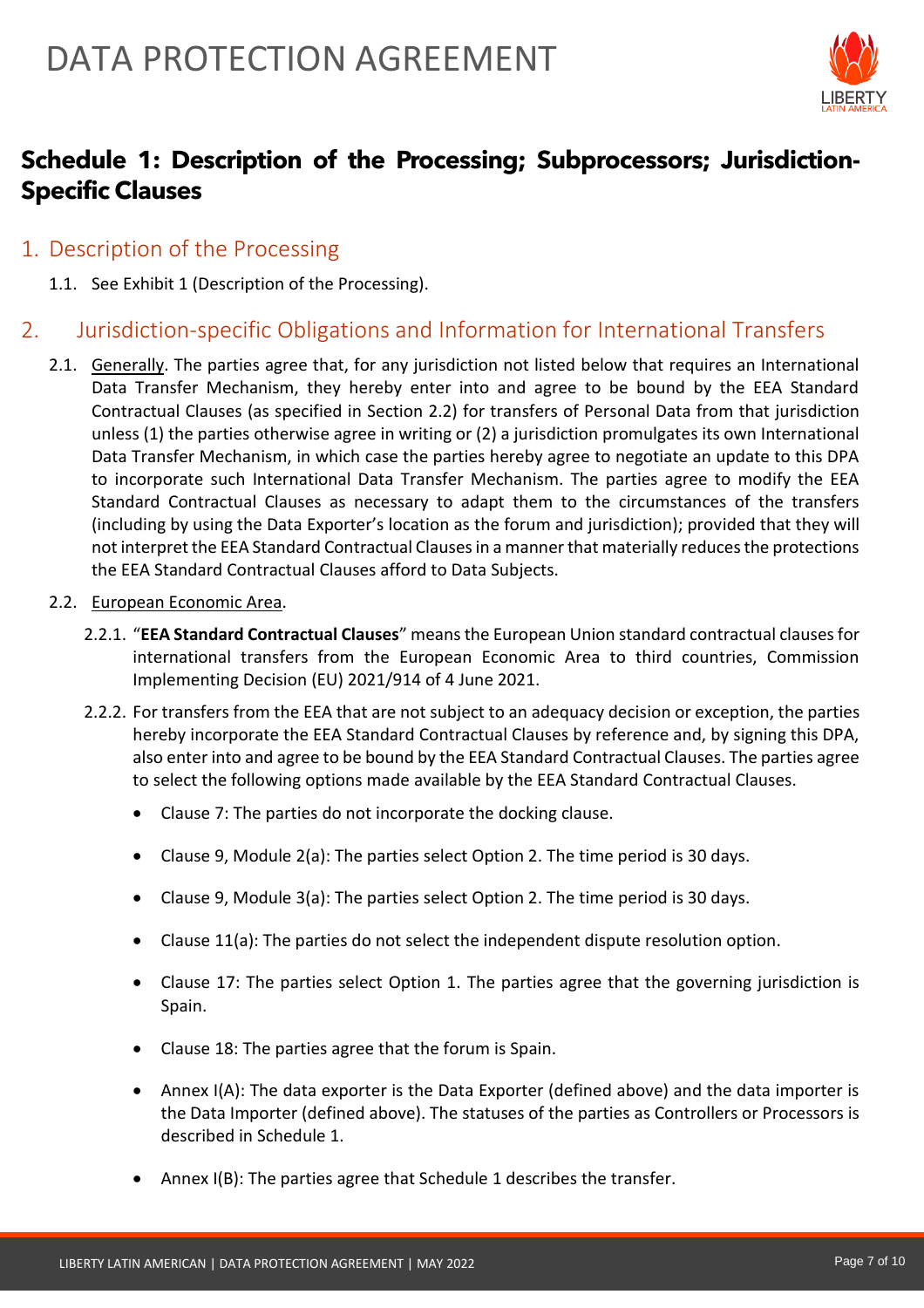

# **Schedule 1: Description of the Processing; Subprocessors; Jurisdiction-Specific Clauses**

- 1. Description of the Processing
	- 1.1. See Exhibit 1 (Description of the Processing).

# 2. Jurisdiction-specific Obligations and Information for International Transfers

- 2.1. Generally. The parties agree that, for any jurisdiction not listed below that requires an International Data Transfer Mechanism, they hereby enter into and agree to be bound by the EEA Standard Contractual Clauses (as specified in Section 2.2) for transfers of Personal Data from that jurisdiction unless (1) the parties otherwise agree in writing or (2) a jurisdiction promulgates its own International Data Transfer Mechanism, in which case the parties hereby agree to negotiate an update to this DPA to incorporate such International Data Transfer Mechanism. The parties agree to modify the EEA Standard Contractual Clauses as necessary to adapt them to the circumstances of the transfers (including by using the Data Exporter's location as the forum and jurisdiction); provided that they will not interpret the EEA Standard Contractual Clauses in a manner that materially reduces the protections the EEA Standard Contractual Clauses afford to Data Subjects.
- 2.2. European Economic Area.
	- 2.2.1. "**EEA Standard Contractual Clauses**" means the European Union standard contractual clauses for international transfers from the European Economic Area to third countries, Commission Implementing Decision (EU) 2021/914 of 4 June 2021.
	- 2.2.2. For transfers from the EEA that are not subject to an adequacy decision or exception, the parties hereby incorporate the EEA Standard Contractual Clauses by reference and, by signing this DPA, also enter into and agree to be bound by the EEA Standard Contractual Clauses. The parties agree to select the following options made available by the EEA Standard Contractual Clauses.
		- Clause 7: The parties do not incorporate the docking clause.
		- Clause 9, Module 2(a): The parties select Option 2. The time period is 30 days.
		- Clause 9, Module 3(a): The parties select Option 2. The time period is 30 days.
		- Clause 11(a): The parties do not select the independent dispute resolution option.
		- Clause 17: The parties select Option 1. The parties agree that the governing jurisdiction is Spain.
		- Clause 18: The parties agree that the forum is Spain.
		- Annex I(A): The data exporter is the Data Exporter (defined above) and the data importer is the Data Importer (defined above). The statuses of the parties as Controllers or Processors is described in Schedule 1.
		- Annex I(B): The parties agree that Schedule 1 describes the transfer.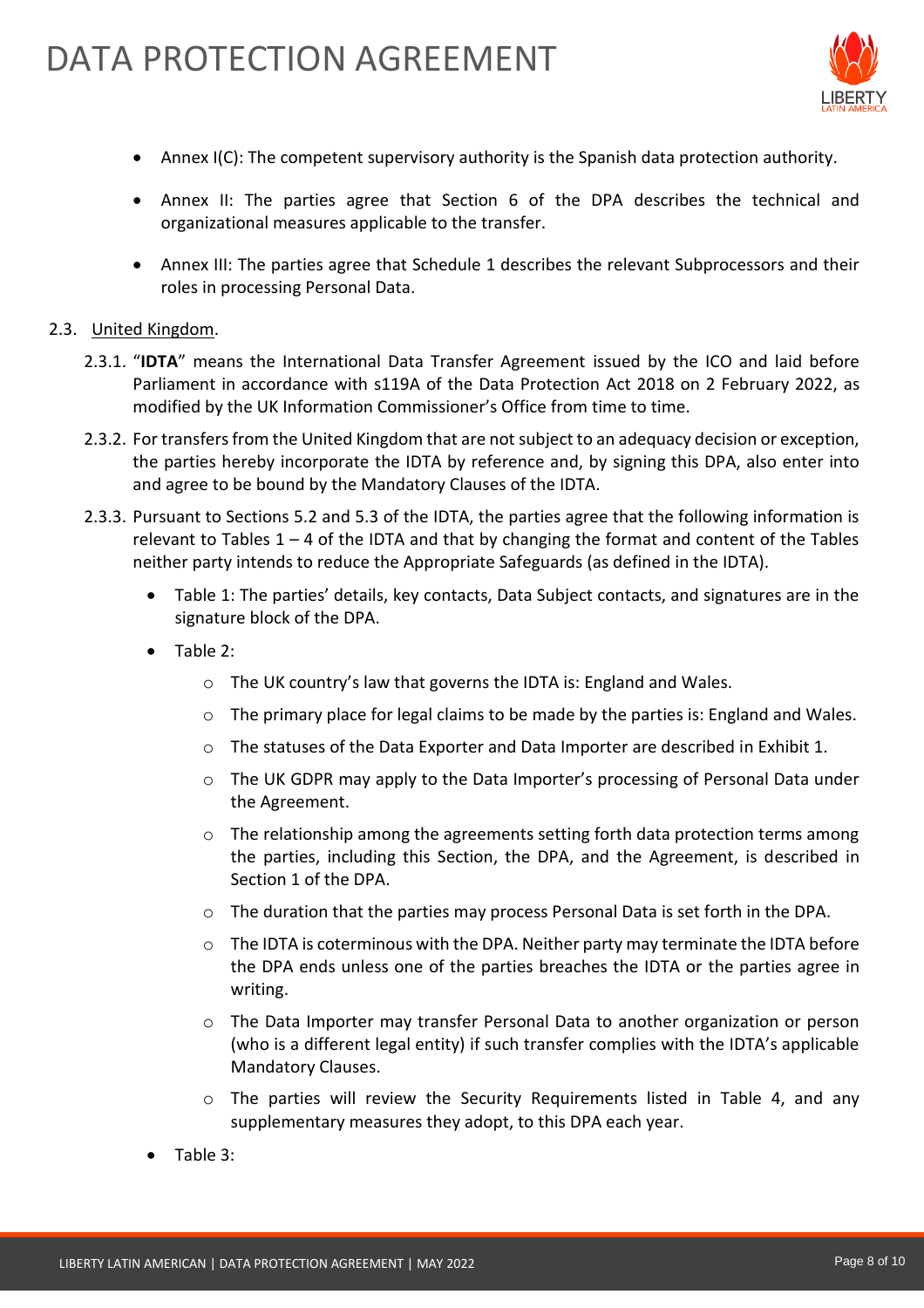

- Annex I(C): The competent supervisory authority is the Spanish data protection authority.
- Annex II: The parties agree that Section 6 of the DPA describes the technical and organizational measures applicable to the transfer.
- Annex III: The parties agree that Schedule 1 describes the relevant Subprocessors and their roles in processing Personal Data.

#### 2.3. United Kingdom.

- 2.3.1. "**IDTA**" means the International Data Transfer Agreement issued by the ICO and laid before Parliament in accordance with s119A of the Data Protection Act 2018 on 2 February 2022, as modified by the UK Information Commissioner's Office from time to time.
- 2.3.2. For transfers from the United Kingdom that are not subject to an adequacy decision or exception, the parties hereby incorporate the IDTA by reference and, by signing this DPA, also enter into and agree to be bound by the Mandatory Clauses of the IDTA.
- 2.3.3. Pursuant to Sections 5.2 and 5.3 of the IDTA, the parties agree that the following information is relevant to Tables  $1 - 4$  of the IDTA and that by changing the format and content of the Tables neither party intends to reduce the Appropriate Safeguards (as defined in the IDTA).
	- Table 1: The parties' details, key contacts, Data Subject contacts, and signatures are in the signature block of the DPA.
	- Table 2:
		- o The UK country's law that governs the IDTA is: England and Wales.
		- $\circ$  The primary place for legal claims to be made by the parties is: England and Wales.
		- $\circ$  The statuses of the Data Exporter and Data Importer are described in Exhibit 1.
		- $\circ$  The UK GDPR may apply to the Data Importer's processing of Personal Data under the Agreement.
		- $\circ$  The relationship among the agreements setting forth data protection terms among the parties, including this Section, the DPA, and the Agreement, is described in Section 1 of the DPA.
		- $\circ$  The duration that the parties may process Personal Data is set forth in the DPA.
		- $\circ$  The IDTA is coterminous with the DPA. Neither party may terminate the IDTA before the DPA ends unless one of the parties breaches the IDTA or the parties agree in writing.
		- o The Data Importer may transfer Personal Data to another organization or person (who is a different legal entity) if such transfer complies with the IDTA's applicable Mandatory Clauses.
		- o The parties will review the Security Requirements listed in Table 4, and any supplementary measures they adopt, to this DPA each year.
	- Table 3: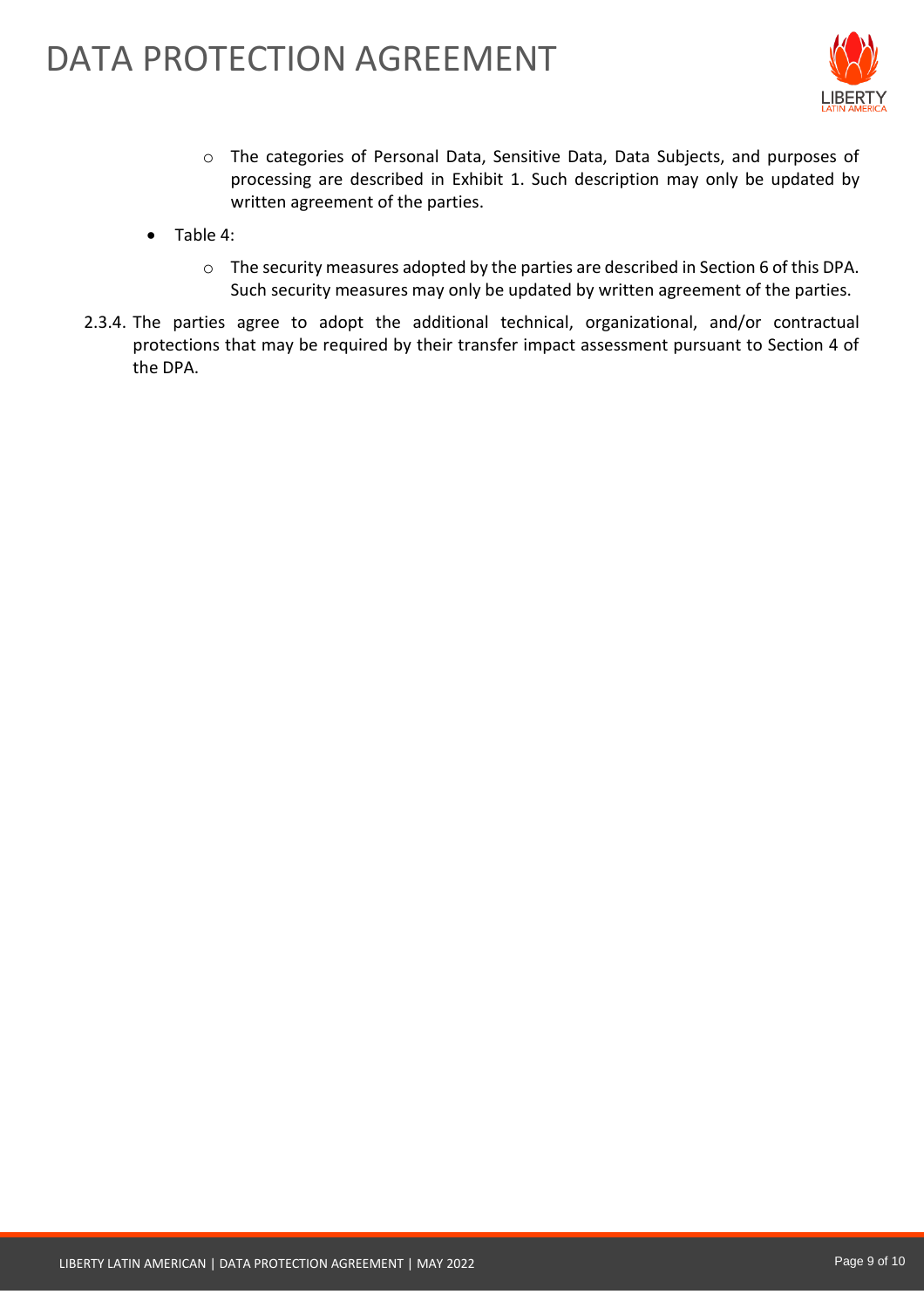

- o The categories of Personal Data, Sensitive Data, Data Subjects, and purposes of processing are described in Exhibit 1. Such description may only be updated by written agreement of the parties.
- Table 4:
	- o The security measures adopted by the parties are described in Section 6 of this DPA. Such security measures may only be updated by written agreement of the parties.
- 2.3.4. The parties agree to adopt the additional technical, organizational, and/or contractual protections that may be required by their transfer impact assessment pursuant to Section 4 of the DPA.